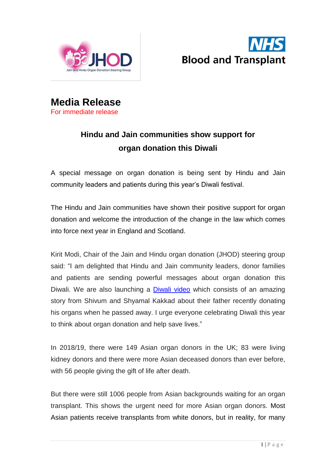



**Media Release** For immediate release

# **Hindu and Jain communities show support for organ donation this Diwali**

A special message on organ donation is being sent by Hindu and Jain community leaders and patients during this year's Diwali festival.

The Hindu and Jain communities have shown their positive support for organ donation and welcome the introduction of the change in the law which comes into force next year in England and Scotland.

Kirit Modi, Chair of the Jain and Hindu organ donation (JHOD) steering group said: "I am delighted that Hindu and Jain community leaders, donor families and patients are sending powerful messages about organ donation this Diwali. We are also launching a [Diwali](https://www.youtube.com/watch?v=XQydA-e2jKc&feature=youtu.be) video which consists of an amazing story from Shivum and Shyamal Kakkad about their father recently donating his organs when he passed away. I urge everyone celebrating Diwali this year to think about organ donation and help save lives."

In 2018/19, there were 149 Asian organ donors in the UK; 83 were living kidney donors and there were more Asian deceased donors than ever before, with 56 people giving the gift of life after death.

But there were still 1006 people from Asian backgrounds waiting for an organ transplant. This shows the urgent need for more Asian organ donors. Most Asian patients receive transplants from white donors, but in reality, for many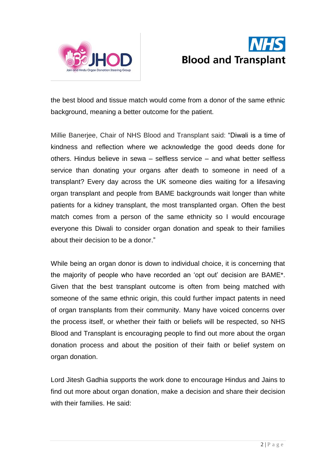



the best blood and tissue match would come from a donor of the same ethnic background, meaning a better outcome for the patient.

Millie Banerjee, Chair of NHS Blood and Transplant said: "Diwali is a time of kindness and reflection where we acknowledge the good deeds done for others. Hindus believe in sewa – selfless service – and what better selfless service than donating your organs after death to someone in need of a transplant? Every day across the UK someone dies waiting for a lifesaving organ transplant and people from BAME backgrounds wait longer than white patients for a kidney transplant, the most transplanted organ. Often the best match comes from a person of the same ethnicity so I would encourage everyone this Diwali to consider organ donation and speak to their families about their decision to be a donor."

While being an organ donor is down to individual choice, it is concerning that the majority of people who have recorded an 'opt out' decision are BAME\*. Given that the best transplant outcome is often from being matched with someone of the same ethnic origin, this could further impact patents in need of organ transplants from their community. Many have voiced concerns over the process itself, or whether their faith or beliefs will be respected, so NHS Blood and Transplant is encouraging people to find out more about the organ donation process and about the position of their faith or belief system on organ donation.

Lord Jitesh Gadhia supports the work done to encourage Hindus and Jains to find out more about organ donation, make a decision and share their decision with their families. He said: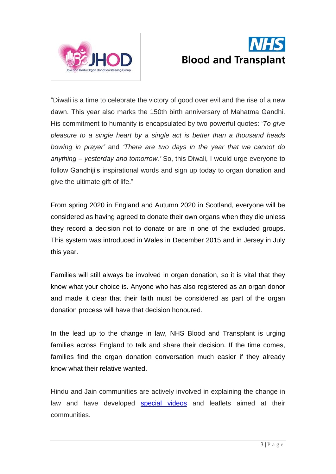



"Diwali is a time to celebrate the victory of good over evil and the rise of a new dawn. This year also marks the 150th birth anniversary of Mahatma Gandhi. His commitment to humanity is encapsulated by two powerful quotes: '*To give pleasure to a single heart by a single act is better than a thousand heads bowing in prayer'* and *'There are two days in the year that we cannot do anything – yesterday and tomorrow.'* So, this Diwali, I would urge everyone to follow Gandhiji's inspirational words and sign up today to organ donation and give the ultimate gift of life."

From spring 2020 in England and Autumn 2020 in Scotland, everyone will be considered as having agreed to donate their own organs when they die unless they record a decision not to donate or are in one of the excluded groups. This system was introduced in Wales in December 2015 and in Jersey in July this year.

Families will still always be involved in organ donation, so it is vital that they know what your choice is. Anyone who has also registered as an organ donor and made it clear that their faith must be considered as part of the organ donation process will have that decision honoured.

In the lead up to the change in law, NHS Blood and Transplant is urging families across England to talk and share their decision. If the time comes, families find the organ donation conversation much easier if they already know what their relative wanted.

Hindu and Jain communities are actively involved in explaining the change in law and have developed [special](https://www.youtube.com/watch?v=XQydA-e2jKc&feature=youtu.be) videos and leaflets aimed at their communities.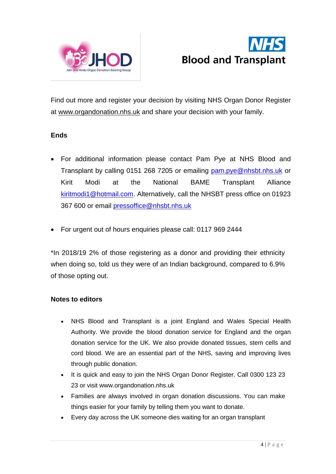



Find out more and register your decision by visiting NHS Organ Donor Register at [www.organdonation.nhs.uk](http://www.organdonation.nhs.uk/) and share your decision with your family.

# **Ends**

- For additional information please contact Pam Pye at NHS Blood and Transplant by calling 0151 268 7205 or emailing [pam.pye@nhsbt.nhs.uk](mailto:pam.pye@nhsbt.nhs.uk) or Kirit Modi at the National BAME Transplant Alliance [kiritmodi1@hotmail.com.](mailto:kiritmodi1@hotmail.com) Alternatively, call the NHSBT press office on 01923 367 600 or email [pressoffice@nhsbt.nhs.uk](mailto:pressoffice@nhsbt.nhs.uk)
- For urgent out of hours enquiries please call: 0117 969 2444

\*In 2018/19 2% of those registering as a donor and providing their ethnicity when doing so, told us they were of an Indian background, compared to 6.9% of those opting out.

# **Notes to editors**

- NHS Blood and Transplant is a joint England and Wales Special Health Authority. We provide the blood donation service for England and the organ donation service for the UK. We also provide donated tissues, stem cells and cord blood. We are an essential part of the NHS, saving and improving lives through public donation.
- It is quick and easy to join the NHS Organ Donor Register. Call 0300 123 23 23 or visit [www.organdonation.nhs.uk](http://www.organdonation.nhs.uk/)
- Families are always involved in organ donation discussions. You can make things easier for your family by telling them you want to donate.
- Every day across the UK someone dies waiting for an organ transplant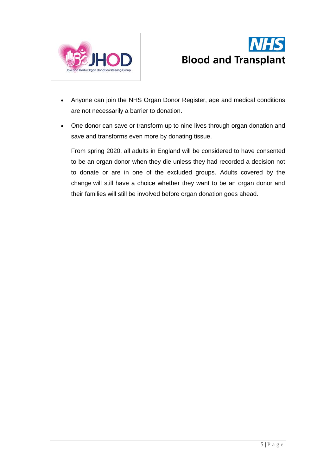



- Anyone can join the NHS Organ Donor Register, age and medical conditions are not necessarily a barrier to donation.
- One donor can save or transform up to nine lives through organ donation and save and transforms even more by donating tissue.

From spring 2020, all adults in England will be considered to have consented to be an organ donor when they die unless they had recorded a decision not to donate or are in one of the excluded groups. Adults covered by the change will still have a choice whether they want to be an organ donor and their families will still be involved before organ donation goes ahead.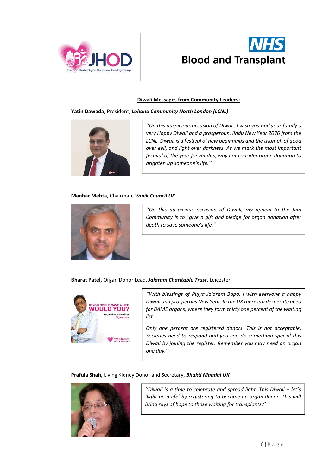



# **Diwali Messages from Community Leaders:**

**Yatin Dawada,** President, *Lohana Community North London (LCNL)* 



*''On this auspicious occasion of Diwali, I wish you and your family a very Happy Diwali and a prosperous Hindu New Year 2076 from the LCNL. Diwali is a festival of new beginnings and the triumph of good over evil, and light over darkness. As we mark the most important festival of the year for Hindus, why not consider organ donation to brighten up someone's life.''*

# **Manhar Mehta,** Chairman, *Vanik Council UK*



*''On this auspicious occasion of Diwali, my appeal to the Jain Community is to "give a gift and pledge for organ donation after death to save someone's life."*

**Bharat Patel,** Organ Donor Lead, *Jalaram Charitable Trust***,** Leicester



*''With blessings of Pujya Jalaram Bapa, I wish everyone a happy Diwali and prosperous New Year. In the UK there is a desperate need for BAME organs, where they form thirty one percent of the waiting list.*

*Only one percent are registered donors. This is not acceptable. Societies need to respond and you can do something special this Diwali by joining the register. Remember you may need an organ one day.''*

**Prafula Shah,** Living Kidney Donor and Secretary, *Bhakti Mandal UK*



*''Diwali is a time to celebrate and spread light. This Diwali – let's 'light up a life' by registering to become an organ donor. This will bring rays of hope to those waiting for transplants.''*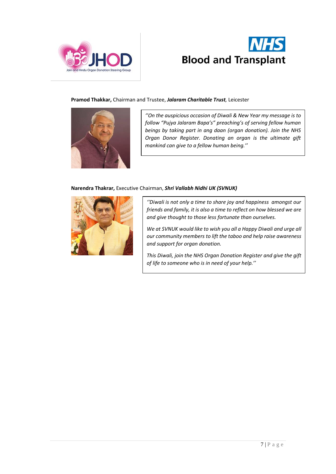



# **Pramod Thakkar,** Chairman and Trustee, *Jalaram Charitable Trust,* Leicester



*''On the auspicious occasion of Diwali & New Year my message is to follow "Pujya Jalaram Bapa's" preaching's of serving fellow human beings by taking part in ang daan (organ donation). Join the NHS Organ Donor Register. Donating an organ is the ultimate gift mankind can give to a fellow human being.''*

# **Narendra Thakrar,** Executive Chairman, *Shri Vallabh Nidhi UK (SVNUK)*



*''Diwali is not only a time to share joy and happiness amongst our friends and family, it is also a time to reflect on how blessed we are and give thought to those less fortunate than ourselves.* 

*We at SVNUK would like to wish you all a Happy Diwali and urge all our community members to lift the taboo and help raise awareness and support for organ donation.* 

*This Diwali, join the NHS Organ Donation Register and give the gift of life to someone who is in need of your help.''*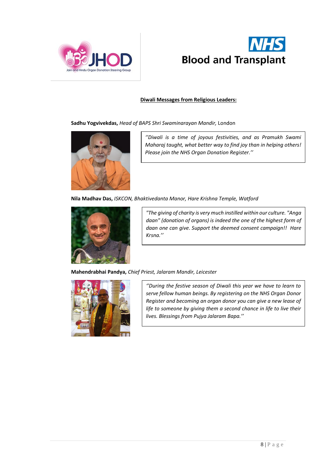



# **Diwali Messages from Religious Leaders:**

**Sadhu Yogvivekdas,** *Head of BAPS Shri Swaminarayan Mandir,* London



*''Diwali is a time of joyous festivities, and as Pramukh Swami Maharaj taught, what better way to find joy than in helping others! Please join the NHS Organ Donation Register.''*

**Nila Madhav Das,** *ISKCON, Bhaktivedanta Manor, Hare Krishna Temple, Watford*



*"The giving of charity is very much instilled within our culture. "Anga daan" (donation of organs) is indeed the one of the highest form of daan one can give. Support the deemed consent campaign!! Hare Krsna.''*

**Mahendrabhai Pandya,** *Chief Priest, Jalaram Mandir, Leicester*



*''During the festive season of Diwali this year we have to learn to serve fellow human beings. By registering on the NHS Organ Donor Register and becoming an organ donor you can give a new lease of life to someone by giving them a second chance in life to live their lives. Blessings from Pujya Jalaram Bapa.''*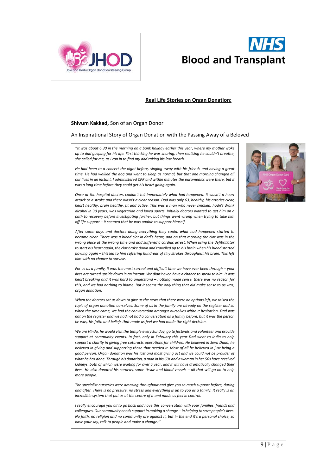



#### **Real Life Stories on Organ Donation:**

#### **Shivum Kakkad,** Son of an Organ Donor

An Inspirational Story of Organ Donation with the Passing Away of a Beloved

*''It was about 6.30 in the morning on a bank holiday earlier this year, where my mother woke up to dad gasping for his life. First thinking he was snoring, then realising he couldn't breathe, she called for me, as I ran in to find my dad taking his last breath.*

*He had been to a concert the night before, singing away with his friends and having a great*  time. He had walked the dog and went to sleep as normal, but that one morning changed all *our lives in an instant. I administered CPR and within minutes the paramedics were there, but it was a long time before they could get his heart going again.* 

*Once at the hospital doctors couldn't tell immediately what had happened. It wasn't a heart attack or a stroke and there wasn't a clear reason. Dad was only 63, healthy, his arteries clear, heart healthy, brain healthy, fit and active. This was a man who never smoked, hadn't drank alcohol in 30 years, was vegetarian and loved sports. Initially doctors wanted to get him on a path to recovery before investigating further, but things went wrong when trying to take him off life support – it seemed that he was unable to support himself.*

*After some days and doctors doing everything they could, what had happened started to become clear. There was a blood clot in dad's heart, and on that morning the clot was in the wrong place at the wrong time and dad suffered a cardiac arrest. When using the defibrillator to start his heart again, the clot broke down and travelled up to his brain when his blood started flowing again – this led to him suffering hundreds of tiny strokes throughout his brain. This left him with no chance to survive.*

*For us as a family, it was the most surreal and difficult time we have ever been through – your lives are turned upside down in an instant. We didn't even have a chance to speak to him. It was heart breaking and it was hard to understand – nothing made sense, there was no reason for this, and we had nothing to blame. But it seems the only thing that did make sense to us was, organ donation.*

*When the doctors sat us down to give us the news that there were no options left, we raised the topic of organ donation ourselves. Some of us in the family are already on the register and so when the time came, we had the conversation amongst ourselves without hesitation. Dad was not on the register and we had not had a conversation as a family before, but it was the person he was, his faith and beliefs that made us feel we had made the right decision.*

*We are Hindu, he would visit the temple every Sunday, go to festivals and volunteer and provide support at community events. In fact, only in February this year Dad went to India to help support a charity in giving free cataracts operations for children. He believed in Seva Daan, he believed in giving and supporting those that needed it. Most of all he believed in just being a good person. Organ donation was his last and most giving act and we could not be prouder of what he has done. Through his donation, a man in his 60s and a woman in her 50s have received kidneys, both of which were waiting for over a year, and it will have dramatically changed their lives. He also donated his corneas, some tissue and blood vessels – all that will go on to help more people.*

*The specialist nurseries were amazing throughout and give you so much support before, during and after. There is no pressure, no stress and everything is up to you as a family. It really is an incredible system that put us at the centre of it and made us feel in control.*

*I really encourage you all to go back and have this conversation with your families, friends and colleagues. Our community needs support in making a change – in helping to save people's lives. No faith, no religion and no community are against it, but in the end it's a personal choice, so have your say, talk to people and make a change.''*

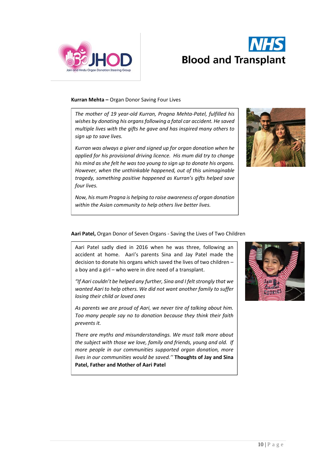



# **Kurran Mehta –** Organ Donor Saving Four Lives

*The mother of 19 year-old Kurran, Pragna Mehta-Patel, fulfilled his wishes by donating his organs following a fatal car accident. He saved multiple lives with the gifts he gave and has inspired many others to sign up to save lives.*

*Kurran was always a giver and signed up for organ donation when he applied for his provisional driving licence. His mum did try to change his mind as she felt he was too young to sign up to donate his organs. However, when the unthinkable happened, out of this unimaginable tragedy, something positive happened as Kurran's gifts helped save four lives.*

*Now, his mum Pragna is helping to raise awareness of organ donation within the Asian community to help others live better lives.* 



# **Aari Patel,** Organ Donor of Seven Organs - Saving the Lives of Two Children

Aari Patel sadly died in 2016 when he was three, following an accident at home. Aari's parents Sina and Jay Patel made the decision to donate his organs which saved the lives of two children – a boy and a girl – who were in dire need of a transplant.

*"If Aari couldn't be helped any further, Sina and I felt strongly that we wanted Aari to help others. We did not want another family to suffer losing their child or loved ones*

*As parents we are proud of Aari, we never tire of talking about him. Too many people say no to donation because they think their faith prevents it.*

*There are myths and misunderstandings. We must talk more about the subject with those we love, family and friends, young and old. If more people in our communities supported organ donation, more lives in our communities would be saved.''* **Thoughts of Jay and Sina Patel, Father and Mother of Aari Patel**

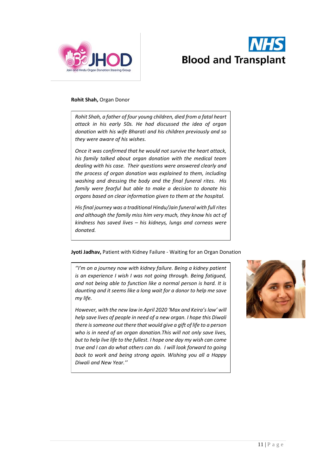



#### **Rohit Shah,** Organ Donor

*Rohit Shah, a father of four young children, died from a fatal heart attack in his early 50s. He had discussed the idea of organ donation with his wife Bharati and his children previously and so they were aware of his wishes.*

*Once it was confirmed that he would not survive the heart attack, his family talked about organ donation with the medical team dealing with his case. Their questions were answered clearly and the process of organ donation was explained to them, including washing and dressing the body and the final funeral rites. His family were fearful but able to make a decision to donate his organs based on clear information given to them at the hospital.*

*His final journey was a traditional Hindu/Jain funeral with full rites and although the family miss him very much, they know his act of kindness has saved lives – his kidneys, lungs and corneas were donated.*

# **Jyoti Jadhav,** Patient with Kidney Failure - Waiting for an Organ Donation

*''I'm on a journey now with kidney failure. Being a kidney patient is an experience I wish I was not going through. Being fatigued, and not being able to function like a normal person is hard. It is daunting and it seems like a long wait for a donor to help me save my life.* 

*However, with the new law in April 2020 'Max and Keira'slaw' will help save lives of people in need of a new organ. I hope this Diwali there is someone out there that would give a gift of life to a person who is in need of an organ donation.This will not only save lives, but to help live life to the fullest. I hope one day my wish can come true and I can do what others can do. I will look forward to going back to work and being strong again. Wishing you all a Happy Diwali and New Year.''*

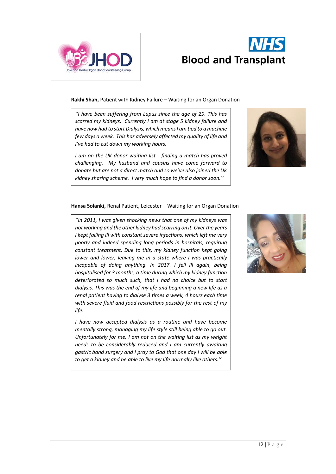



**Rakhi Shah,** Patient with Kidney Failure **–** Waiting for an Organ Donation

*''I have been suffering from Lupus since the age of 29. This has scarred my kidneys. Currently I am at stage 5 kidney failure and have now had to start Dialysis, which means I am tied to a machine few days a week. This has adversely affected my quality of life and I've had to cut down my working hours.* 

*I am on the UK donor waiting list - finding a match has proved challenging. My husband and cousins have come forward to donate but are not a direct match and so we've also joined the UK kidney sharing scheme. I very much hope to find a donor soon.''*



# **Hansa Solanki,** Renal Patient, Leicester – Waiting for an Organ Donation

*''In 2011, I was given shocking news that one of my kidneys was not working and the other kidney had scarring on it. Over the years I kept falling ill with constant severe infections, which left me very poorly and indeed spending long periods in hospitals, requiring constant treatment. Due to this, my kidney function kept going lower and lower, leaving me in a state where I was practically incapable of doing anything. In 2017. I fell ill again, being hospitalised for 3 months, a time during which my kidney function deteriorated so much such, that I had no choice but to start dialysis. This was the end of my life and beginning a new life as a renal patient having to dialyse 3 times a week, 4 hours each time with severe fluid and food restrictions possibly for the rest of my life.* 

*I have now accepted dialysis as a routine and have become mentally strong, managing my life style still being able to go out. Unfortunately for me, I am not on the waiting list as my weight needs to be considerably reduced and I am currently awaiting gastric band surgery and I pray to God that one day I will be able to get a kidney and be able to live my life normally like others.''*